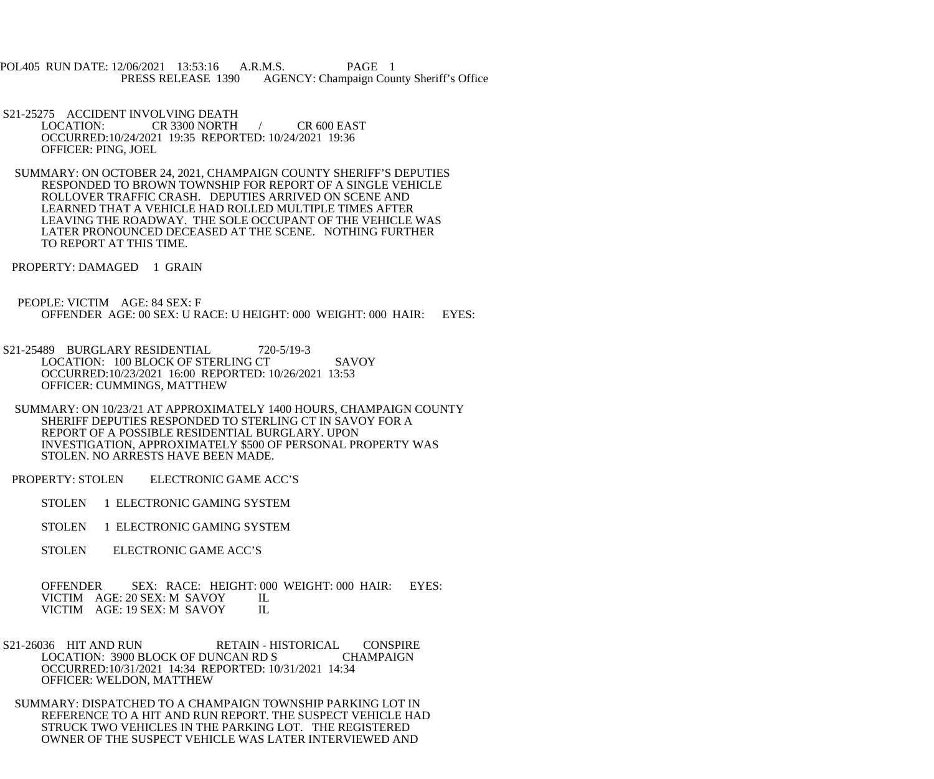POL405 RUN DATE: 12/06/2021 13:53:16 A.R.M.S. PAGE 1<br>PRESS RELEASE 1390 AGENCY: Champaign Cou AGENCY: Champaign County Sheriff's Office

S21-25275 ACCIDENT INVOLVING DEATH<br>LOCATION: CR 3300 NORTH  $CR$  3300 NORTH  $/$  CR 600 EAST OCCURRED:10/24/2021 19:35 REPORTED: 10/24/2021 19:36 OFFICER: PING, JOEL

 SUMMARY: ON OCTOBER 24, 2021, CHAMPAIGN COUNTY SHERIFF'S DEPUTIES RESPONDED TO BROWN TOWNSHIP FOR REPORT OF A SINGLE VEHICLE ROLLOVER TRAFFIC CRASH. DEPUTIES ARRIVED ON SCENE AND LEARNED THAT A VEHICLE HAD ROLLED MULTIPLE TIMES AFTER LEAVING THE ROADWAY. THE SOLE OCCUPANT OF THE VEHICLE WAS LATER PRONOUNCED DECEASED AT THE SCENE. NOTHING FURTHER TO REPORT AT THIS TIME.

PROPERTY: DAMAGED 1 GRAIN

 PEOPLE: VICTIM AGE: 84 SEX: F OFFENDER AGE: 00 SEX: U RACE: U HEIGHT: 000 WEIGHT: 000 HAIR: EYES:

S21-25489 BURGLARY RESIDENTIAL 720-5/19-3 LOCATION: 100 BLOCK OF STERLING CT SAVOY OCCURRED:10/23/2021 16:00 REPORTED: 10/26/2021 13:53 OFFICER: CUMMINGS, MATTHEW

 SUMMARY: ON 10/23/21 AT APPROXIMATELY 1400 HOURS, CHAMPAIGN COUNTY SHERIFF DEPUTIES RESPONDED TO STERLING CT IN SAVOY FOR A REPORT OF A POSSIBLE RESIDENTIAL BURGLARY. UPON INVESTIGATION, APPROXIMATELY \$500 OF PERSONAL PROPERTY WAS STOLEN. NO ARRESTS HAVE BEEN MADE.

PROPERTY: STOLEN ELECTRONIC GAME ACC'S

STOLEN 1 ELECTRONIC GAMING SYSTEM

STOLEN 1 ELECTRONIC GAMING SYSTEM

STOLEN ELECTRONIC GAME ACC'S

 OFFENDER SEX: RACE: HEIGHT: 000 WEIGHT: 000 HAIR: EYES: VICTIM AGE: 20 SEX: M SAVOY IL<br>VICTIM AGE: 19 SEX: M SAVOY IL VICTIM AGE: 19 SEX: M SAVOY

S21-26036 HIT AND RUN RETAIN - HISTORICAL CONSPIRE LOCATION: 3900 BLOCK OF DUNCAN RD S CHAMPAIGN OCCURRED:10/31/2021 14:34 REPORTED: 10/31/2021 14:34 OFFICER: WELDON, MATTHEW

 SUMMARY: DISPATCHED TO A CHAMPAIGN TOWNSHIP PARKING LOT IN REFERENCE TO A HIT AND RUN REPORT. THE SUSPECT VEHICLE HAD STRUCK TWO VEHICLES IN THE PARKING LOT. THE REGISTERED OWNER OF THE SUSPECT VEHICLE WAS LATER INTERVIEWED AND